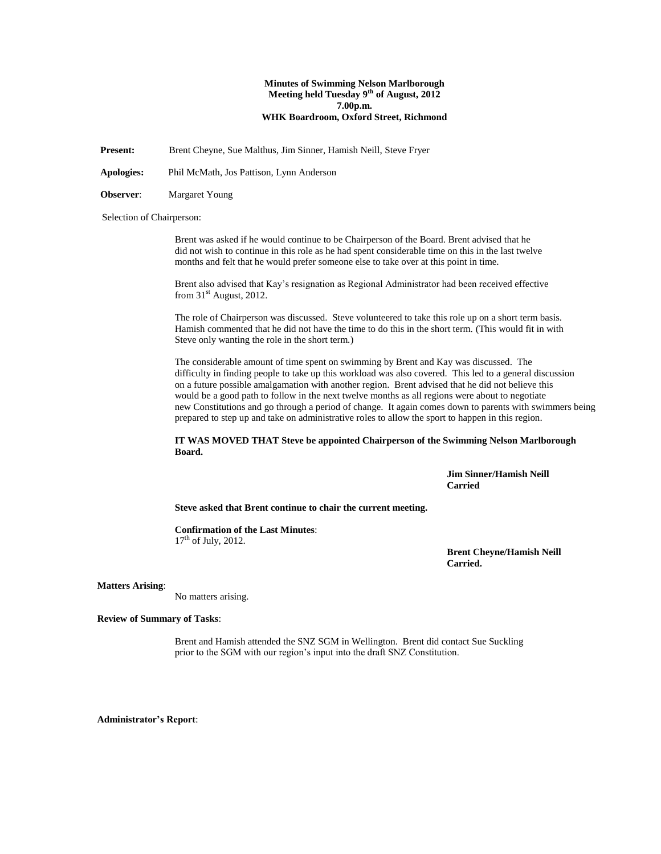# **Minutes of Swimming Nelson Marlborough Meeting held Tuesday 9th of August, 2012 7.00p.m. WHK Boardroom, Oxford Street, Richmond**

**Present:** Brent Cheyne, Sue Malthus, Jim Sinner, Hamish Neill, Steve Fryer

**Apologies:** Phil McMath, Jos Pattison, Lynn Anderson

**Observer**: Margaret Young

Selection of Chairperson:

Brent was asked if he would continue to be Chairperson of the Board. Brent advised that he did not wish to continue in this role as he had spent considerable time on this in the last twelve months and felt that he would prefer someone else to take over at this point in time.

Brent also advised that Kay's resignation as Regional Administrator had been received effective from  $31<sup>st</sup>$  August, 2012.

The role of Chairperson was discussed. Steve volunteered to take this role up on a short term basis. Hamish commented that he did not have the time to do this in the short term. (This would fit in with Steve only wanting the role in the short term.)

The considerable amount of time spent on swimming by Brent and Kay was discussed. The difficulty in finding people to take up this workload was also covered. This led to a general discussion on a future possible amalgamation with another region. Brent advised that he did not believe this would be a good path to follow in the next twelve months as all regions were about to negotiate new Constitutions and go through a period of change. It again comes down to parents with swimmers being prepared to step up and take on administrative roles to allow the sport to happen in this region.

# **IT WAS MOVED THAT Steve be appointed Chairperson of the Swimming Nelson Marlborough Board.**

**Jim Sinner/Hamish Neill Carried**

**Steve asked that Brent continue to chair the current meeting.**

**Confirmation of the Last Minutes**:  $17<sup>th</sup>$  of July, 2012.

> **Brent Cheyne/Hamish Neill Carried.**

# **Matters Arising**:

No matters arising.

**Review of Summary of Tasks**:

Brent and Hamish attended the SNZ SGM in Wellington. Brent did contact Sue Suckling prior to the SGM with our region's input into the draft SNZ Constitution.

**Administrator's Report**: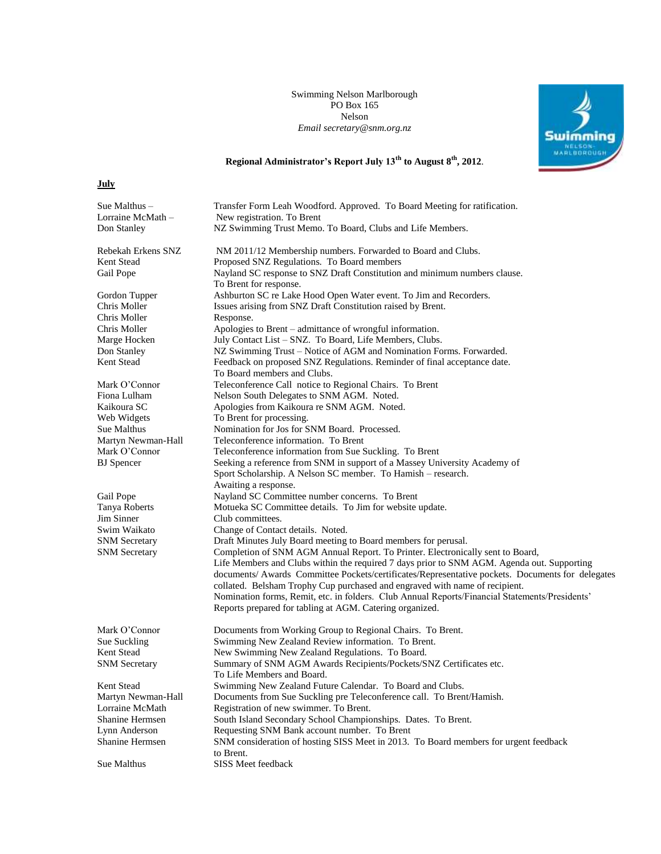Swimming Nelson Marlborough PO Box 165 Nelson *Email secretary@snm.org.nz*



# **Regional Administrator's Report July 13th to August 8th, 2012**.

**July**

| Sue Malthus –        | Transfer Form Leah Woodford. Approved. To Board Meeting for ratification.                                                                                                                                                                                                                                                                                                                                                                                                                                                    |
|----------------------|------------------------------------------------------------------------------------------------------------------------------------------------------------------------------------------------------------------------------------------------------------------------------------------------------------------------------------------------------------------------------------------------------------------------------------------------------------------------------------------------------------------------------|
| Lorraine McMath-     | New registration. To Brent                                                                                                                                                                                                                                                                                                                                                                                                                                                                                                   |
| Don Stanley          | NZ Swimming Trust Memo. To Board, Clubs and Life Members.                                                                                                                                                                                                                                                                                                                                                                                                                                                                    |
| Rebekah Erkens SNZ   | NM 2011/12 Membership numbers. Forwarded to Board and Clubs.                                                                                                                                                                                                                                                                                                                                                                                                                                                                 |
| Kent Stead           | Proposed SNZ Regulations. To Board members                                                                                                                                                                                                                                                                                                                                                                                                                                                                                   |
| Gail Pope            | Nayland SC response to SNZ Draft Constitution and minimum numbers clause.<br>To Brent for response.                                                                                                                                                                                                                                                                                                                                                                                                                          |
| Gordon Tupper        | Ashburton SC re Lake Hood Open Water event. To Jim and Recorders.                                                                                                                                                                                                                                                                                                                                                                                                                                                            |
| Chris Moller         | Issues arising from SNZ Draft Constitution raised by Brent.                                                                                                                                                                                                                                                                                                                                                                                                                                                                  |
| Chris Moller         | Response.                                                                                                                                                                                                                                                                                                                                                                                                                                                                                                                    |
| Chris Moller         | Apologies to Brent – admittance of wrongful information.                                                                                                                                                                                                                                                                                                                                                                                                                                                                     |
| Marge Hocken         | July Contact List - SNZ. To Board, Life Members, Clubs.                                                                                                                                                                                                                                                                                                                                                                                                                                                                      |
| Don Stanley          | NZ Swimming Trust – Notice of AGM and Nomination Forms. Forwarded.                                                                                                                                                                                                                                                                                                                                                                                                                                                           |
| Kent Stead           | Feedback on proposed SNZ Regulations. Reminder of final acceptance date.<br>To Board members and Clubs.                                                                                                                                                                                                                                                                                                                                                                                                                      |
| Mark O'Connor        | Teleconference Call notice to Regional Chairs. To Brent                                                                                                                                                                                                                                                                                                                                                                                                                                                                      |
| Fiona Lulham         | Nelson South Delegates to SNM AGM. Noted.                                                                                                                                                                                                                                                                                                                                                                                                                                                                                    |
| Kaikoura SC          | Apologies from Kaikoura re SNM AGM. Noted.                                                                                                                                                                                                                                                                                                                                                                                                                                                                                   |
| Web Widgets          | To Brent for processing.                                                                                                                                                                                                                                                                                                                                                                                                                                                                                                     |
| Sue Malthus          | Nomination for Jos for SNM Board. Processed.                                                                                                                                                                                                                                                                                                                                                                                                                                                                                 |
| Martyn Newman-Hall   | Teleconference information. To Brent                                                                                                                                                                                                                                                                                                                                                                                                                                                                                         |
| Mark O'Connor        | Teleconference information from Sue Suckling. To Brent                                                                                                                                                                                                                                                                                                                                                                                                                                                                       |
| <b>BJ</b> Spencer    | Seeking a reference from SNM in support of a Massey University Academy of                                                                                                                                                                                                                                                                                                                                                                                                                                                    |
|                      | Sport Scholarship. A Nelson SC member. To Hamish – research.                                                                                                                                                                                                                                                                                                                                                                                                                                                                 |
|                      | Awaiting a response.                                                                                                                                                                                                                                                                                                                                                                                                                                                                                                         |
| Gail Pope            | Nayland SC Committee number concerns. To Brent                                                                                                                                                                                                                                                                                                                                                                                                                                                                               |
| Tanya Roberts        | Motueka SC Committee details. To Jim for website update.                                                                                                                                                                                                                                                                                                                                                                                                                                                                     |
| Jim Sinner           | Club committees.                                                                                                                                                                                                                                                                                                                                                                                                                                                                                                             |
| Swim Waikato         | Change of Contact details. Noted.                                                                                                                                                                                                                                                                                                                                                                                                                                                                                            |
| <b>SNM</b> Secretary | Draft Minutes July Board meeting to Board members for perusal.                                                                                                                                                                                                                                                                                                                                                                                                                                                               |
| <b>SNM</b> Secretary | Completion of SNM AGM Annual Report. To Printer. Electronically sent to Board,<br>Life Members and Clubs within the required 7 days prior to SNM AGM. Agenda out. Supporting<br>documents/Awards Committee Pockets/certificates/Representative pockets. Documents for delegates<br>collated. Belsham Trophy Cup purchased and engraved with name of recipient.<br>Nomination forms, Remit, etc. in folders. Club Annual Reports/Financial Statements/Presidents'<br>Reports prepared for tabling at AGM. Catering organized. |
|                      |                                                                                                                                                                                                                                                                                                                                                                                                                                                                                                                              |
| Mark O'Connor        | Documents from Working Group to Regional Chairs. To Brent.                                                                                                                                                                                                                                                                                                                                                                                                                                                                   |
| Sue Suckling         | Swimming New Zealand Review information. To Brent.                                                                                                                                                                                                                                                                                                                                                                                                                                                                           |
| Kent Stead           | New Swimming New Zealand Regulations. To Board.                                                                                                                                                                                                                                                                                                                                                                                                                                                                              |
| <b>SNM</b> Secretary | Summary of SNM AGM Awards Recipients/Pockets/SNZ Certificates etc.<br>To Life Members and Board.                                                                                                                                                                                                                                                                                                                                                                                                                             |
| Kent Stead           | Swimming New Zealand Future Calendar. To Board and Clubs.                                                                                                                                                                                                                                                                                                                                                                                                                                                                    |
| Martyn Newman-Hall   | Documents from Sue Suckling pre Teleconference call. To Brent/Hamish.                                                                                                                                                                                                                                                                                                                                                                                                                                                        |
| Lorraine McMath      | Registration of new swimmer. To Brent.                                                                                                                                                                                                                                                                                                                                                                                                                                                                                       |
| Shanine Hermsen      | South Island Secondary School Championships. Dates. To Brent.                                                                                                                                                                                                                                                                                                                                                                                                                                                                |
| Lynn Anderson        | Requesting SNM Bank account number. To Brent                                                                                                                                                                                                                                                                                                                                                                                                                                                                                 |
| Shanine Hermsen      | SNM consideration of hosting SISS Meet in 2013. To Board members for urgent feedback<br>to Brent.                                                                                                                                                                                                                                                                                                                                                                                                                            |
| Sue Malthus          | SISS Meet feedback                                                                                                                                                                                                                                                                                                                                                                                                                                                                                                           |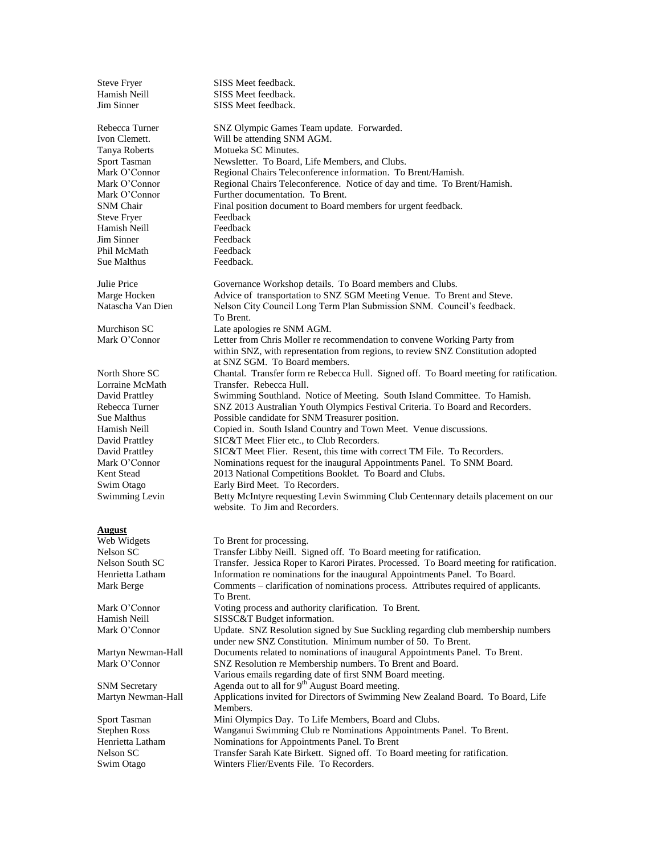| <b>Steve Fryer</b>   | SISS Meet feedback.                                                                      |
|----------------------|------------------------------------------------------------------------------------------|
| Hamish Neill         | SISS Meet feedback.                                                                      |
| Jim Sinner           | SISS Meet feedback.                                                                      |
|                      |                                                                                          |
| Rebecca Turner       | SNZ Olympic Games Team update. Forwarded.                                                |
| Ivon Clemett.        | Will be attending SNM AGM.                                                               |
| Tanya Roberts        | Motueka SC Minutes.                                                                      |
| Sport Tasman         | Newsletter. To Board, Life Members, and Clubs.                                           |
| Mark O'Connor        | Regional Chairs Teleconference information. To Brent/Hamish.                             |
| Mark O'Connor        | Regional Chairs Teleconference. Notice of day and time. To Brent/Hamish.                 |
| Mark O'Connor        | Further documentation. To Brent.                                                         |
| <b>SNM Chair</b>     | Final position document to Board members for urgent feedback.                            |
| <b>Steve Fryer</b>   | Feedback                                                                                 |
| Hamish Neill         | Feedback                                                                                 |
| Jim Sinner           | Feedback                                                                                 |
| Phil McMath          | Feedback                                                                                 |
| Sue Malthus          |                                                                                          |
|                      | Feedback.                                                                                |
|                      |                                                                                          |
| Julie Price          | Governance Workshop details. To Board members and Clubs.                                 |
| Marge Hocken         | Advice of transportation to SNZ SGM Meeting Venue. To Brent and Steve.                   |
| Natascha Van Dien    | Nelson City Council Long Term Plan Submission SNM. Council's feedback.                   |
|                      | To Brent.                                                                                |
| Murchison SC         | Late apologies re SNM AGM.                                                               |
| Mark O'Connor        | Letter from Chris Moller re recommendation to convene Working Party from                 |
|                      | within SNZ, with representation from regions, to review SNZ Constitution adopted         |
|                      | at SNZ SGM. To Board members.                                                            |
| North Shore SC       | Chantal. Transfer form re Rebecca Hull. Signed off. To Board meeting for ratification.   |
| Lorraine McMath      | Transfer. Rebecca Hull.                                                                  |
| David Prattley       | Swimming Southland. Notice of Meeting. South Island Committee. To Hamish.                |
| Rebecca Turner       | SNZ 2013 Australian Youth Olympics Festival Criteria. To Board and Recorders.            |
| Sue Malthus          | Possible candidate for SNM Treasurer position.                                           |
| Hamish Neill         | Copied in. South Island Country and Town Meet. Venue discussions.                        |
| David Prattley       | SIC&T Meet Flier etc., to Club Recorders.                                                |
| David Prattley       | SIC&T Meet Flier. Resent, this time with correct TM File. To Recorders.                  |
| Mark O'Connor        | Nominations request for the inaugural Appointments Panel. To SNM Board.                  |
| Kent Stead           | 2013 National Competitions Booklet. To Board and Clubs.                                  |
| Swim Otago           | Early Bird Meet. To Recorders.                                                           |
| Swimming Levin       | Betty McIntyre requesting Levin Swimming Club Centennary details placement on our        |
|                      | website. To Jim and Recorders.                                                           |
|                      |                                                                                          |
| August               |                                                                                          |
| Web Widgets          | To Brent for processing.                                                                 |
| Nelson SC            | Transfer Libby Neill. Signed off. To Board meeting for ratification.                     |
| Nelson South SC      | Transfer. Jessica Roper to Karori Pirates. Processed. To Board meeting for ratification. |
| Henrietta Latham     | Information re nominations for the inaugural Appointments Panel. To Board.               |
| Mark Berge           | Comments - clarification of nominations process. Attributes required of applicants.      |
|                      | To Brent.                                                                                |
| Mark O'Connor        | Voting process and authority clarification. To Brent.                                    |
| Hamish Neill         |                                                                                          |
|                      | SISSC&T Budget information.                                                              |
| Mark O'Connor        | Update. SNZ Resolution signed by Sue Suckling regarding club membership numbers          |
|                      | under new SNZ Constitution. Minimum number of 50. To Brent.                              |
| Martyn Newman-Hall   | Documents related to nominations of inaugural Appointments Panel. To Brent.              |
| Mark O'Connor        | SNZ Resolution re Membership numbers. To Brent and Board.                                |
|                      | Various emails regarding date of first SNM Board meeting.                                |
| <b>SNM</b> Secretary | Agenda out to all for 9 <sup>th</sup> August Board meeting.                              |
| Martyn Newman-Hall   | Applications invited for Directors of Swimming New Zealand Board. To Board, Life         |
|                      | Members.                                                                                 |
| Sport Tasman         | Mini Olympics Day. To Life Members, Board and Clubs.                                     |
| <b>Stephen Ross</b>  | Wanganui Swimming Club re Nominations Appointments Panel. To Brent.                      |
| Henrietta Latham     | Nominations for Appointments Panel. To Brent                                             |
| Nelson SC            | Transfer Sarah Kate Birkett. Signed off. To Board meeting for ratification.              |
| Swim Otago           | Winters Flier/Events File. To Recorders.                                                 |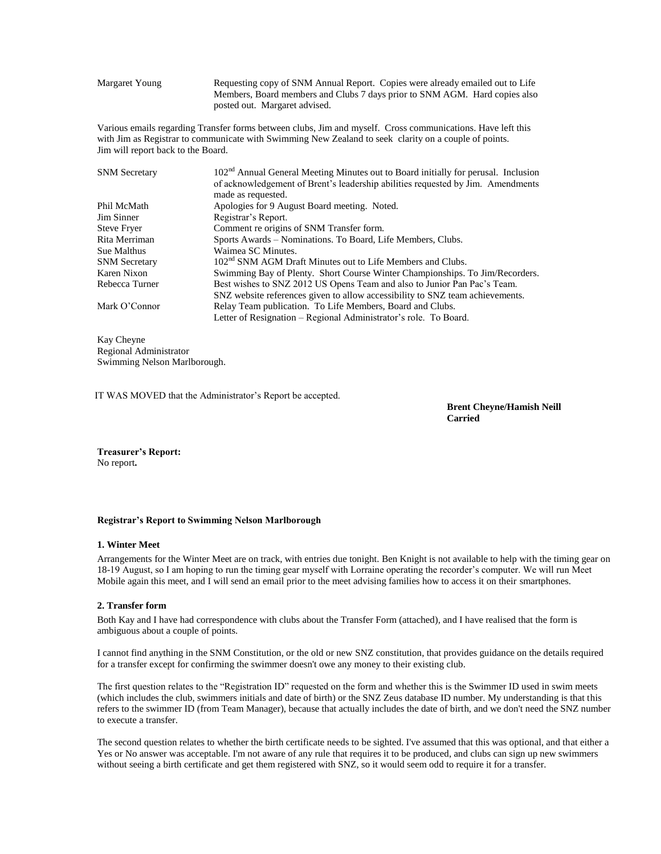Margaret Young Requesting copy of SNM Annual Report. Copies were already emailed out to Life Members, Board members and Clubs 7 days prior to SNM AGM. Hard copies also posted out. Margaret advised.

Various emails regarding Transfer forms between clubs, Jim and myself. Cross communications. Have left this with Jim as Registrar to communicate with Swimming New Zealand to seek clarity on a couple of points. Jim will report back to the Board.

| <b>SNM</b> Secretary | 102 <sup>nd</sup> Annual General Meeting Minutes out to Board initially for perusal. Inclusion |
|----------------------|------------------------------------------------------------------------------------------------|
|                      | of acknowledgement of Brent's leadership abilities requested by Jim. Amendments                |
|                      | made as requested.                                                                             |
| Phil McMath          | Apologies for 9 August Board meeting. Noted.                                                   |
| Jim Sinner           | Registrar's Report.                                                                            |
| <b>Steve Fryer</b>   | Comment re origins of SNM Transfer form.                                                       |
| Rita Merriman        | Sports Awards – Nominations. To Board, Life Members, Clubs.                                    |
| Sue Malthus          | Waimea SC Minutes.                                                                             |
| <b>SNM</b> Secretary | 102 <sup>nd</sup> SNM AGM Draft Minutes out to Life Members and Clubs.                         |
| Karen Nixon          | Swimming Bay of Plenty. Short Course Winter Championships. To Jim/Recorders.                   |
| Rebecca Turner       | Best wishes to SNZ 2012 US Opens Team and also to Junior Pan Pac's Team.                       |
|                      | SNZ website references given to allow accessibility to SNZ team achievements.                  |
| Mark O'Connor        | Relay Team publication. To Life Members, Board and Clubs.                                      |
|                      | Letter of Resignation – Regional Administrator's role. To Board.                               |
|                      |                                                                                                |

Kay Cheyne Regional Administrator Swimming Nelson Marlborough.

IT WAS MOVED that the Administrator's Report be accepted.

**Brent Cheyne/Hamish Neill Carried**

**Treasurer's Report:** No report**.** 

# **Registrar's Report to Swimming Nelson Marlborough**

# **1. Winter Meet**

Arrangements for the Winter Meet are on track, with entries due tonight. Ben Knight is not available to help with the timing gear on 18-19 August, so I am hoping to run the timing gear myself with Lorraine operating the recorder's computer. We will run Meet Mobile again this meet, and I will send an email prior to the meet advising families how to access it on their smartphones.

# **2. Transfer form**

Both Kay and I have had correspondence with clubs about the Transfer Form (attached), and I have realised that the form is ambiguous about a couple of points.

I cannot find anything in the SNM Constitution, or the old or new SNZ constitution, that provides guidance on the details required for a transfer except for confirming the swimmer doesn't owe any money to their existing club.

The first question relates to the "Registration ID" requested on the form and whether this is the Swimmer ID used in swim meets (which includes the club, swimmers initials and date of birth) or the SNZ Zeus database ID number. My understanding is that this refers to the swimmer ID (from Team Manager), because that actually includes the date of birth, and we don't need the SNZ number to execute a transfer.

The second question relates to whether the birth certificate needs to be sighted. I've assumed that this was optional, and that either a Yes or No answer was acceptable. I'm not aware of any rule that requires it to be produced, and clubs can sign up new swimmers without seeing a birth certificate and get them registered with SNZ, so it would seem odd to require it for a transfer.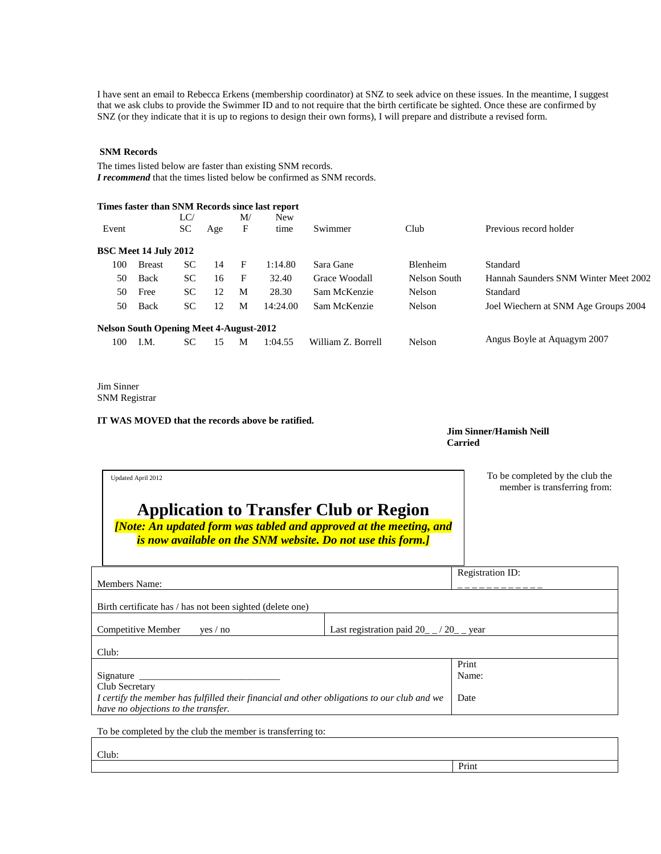I have sent an email to Rebecca Erkens (membership coordinator) at SNZ to seek advice on these issues. In the meantime, I suggest that we ask clubs to provide the Swimmer ID and to not require that the birth certificate be sighted. Once these are confirmed by SNZ (or they indicate that it is up to regions to design their own forms), I will prepare and distribute a revised form.

# **SNM Records**

The times listed below are faster than existing SNM records. *I recommend* that the times listed below be confirmed as SNM records.

|       |                                                |           |     |    | Times faster than SNM Records since last report |                    |                 |                                      |
|-------|------------------------------------------------|-----------|-----|----|-------------------------------------------------|--------------------|-----------------|--------------------------------------|
|       |                                                | LC/       |     | M/ | <b>New</b>                                      |                    |                 |                                      |
| Event |                                                | <b>SC</b> | Age | F  | time                                            | Swimmer            | Club            | Previous record holder               |
|       | <b>BSC Meet 14 July 2012</b>                   |           |     |    |                                                 |                    |                 |                                      |
| 100   | <b>Breast</b>                                  | <b>SC</b> | 14  | F  | 1:14.80                                         | Sara Gane          | <b>Blenheim</b> | Standard                             |
| 50    | Back                                           | <b>SC</b> | 16  | F  | 32.40                                           | Grace Woodall      | Nelson South    | Hannah Saunders SNM Winter Meet 2002 |
| 50    | Free                                           | <b>SC</b> | 12  | M  | 28.30                                           | Sam McKenzie       | Nelson          | Standard                             |
| 50    | Back                                           | <b>SC</b> | 12  | М  | 14:24.00                                        | Sam McKenzie       | <b>Nelson</b>   | Joel Wiechern at SNM Age Groups 2004 |
|       | <b>Nelson South Opening Meet 4-August-2012</b> |           |     |    |                                                 |                    |                 |                                      |
| 100   | I.M.                                           | SС        | 15  | M  | 1:04.55                                         | William Z. Borrell | Nelson          | Angus Boyle at Aquagym 2007          |

Jim Sinner SNM Registrar

**IT WAS MOVED that the records above be ratified.**

**Jim Sinner/Hamish Neill Carried**

Print

| Updated April 2012<br><b>Application to Transfer Club or Region</b><br>[Note: An updated form was tabled and approved at the meeting, and<br>is now available on the SNM website. Do not use this form.] |                                                 | To be completed by the club the<br>member is transferring from: |
|----------------------------------------------------------------------------------------------------------------------------------------------------------------------------------------------------------|-------------------------------------------------|-----------------------------------------------------------------|
| Members Name:                                                                                                                                                                                            |                                                 | Registration ID:                                                |
| Birth certificate has / has not been sighted (delete one)                                                                                                                                                |                                                 |                                                                 |
| Competitive Member<br>yes / no                                                                                                                                                                           | Last registration paid $20_{-}$ / $20_{-}$ year |                                                                 |
| Club:                                                                                                                                                                                                    |                                                 |                                                                 |
| Signature                                                                                                                                                                                                |                                                 | Print<br>Name:                                                  |
| Club Secretary<br>I certify the member has fulfilled their financial and other obligations to our club and we<br>have no objections to the transfer.                                                     | Date                                            |                                                                 |
| To be completed by the club the member is transferring to:                                                                                                                                               |                                                 |                                                                 |
| Club:                                                                                                                                                                                                    |                                                 |                                                                 |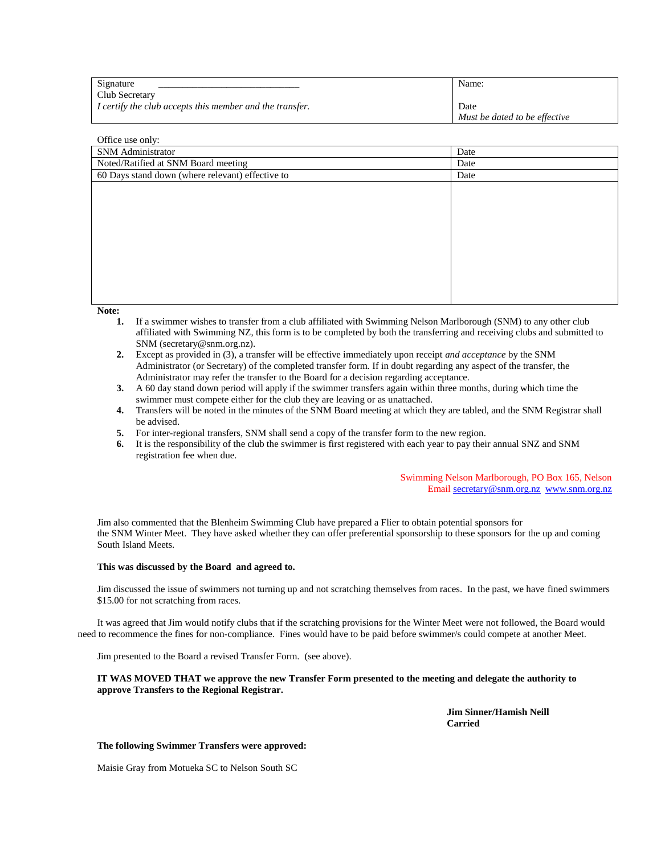| Signature                                                | Name:                         |
|----------------------------------------------------------|-------------------------------|
| Club Secretary                                           |                               |
| I certify the club accepts this member and the transfer. | Date                          |
|                                                          | Must be dated to be effective |

# Office use only: SNM Administrator Date Noted/Ratified at SNM Board meeting Date 60 Days stand down (where relevant) effective to Date

**Note:** 

- **1.** If a swimmer wishes to transfer from a club affiliated with Swimming Nelson Marlborough (SNM) to any other club affiliated with Swimming NZ, this form is to be completed by both the transferring and receiving clubs and submitted to SNM (secretary@snm.org.nz).
- **2.** Except as provided in (3), a transfer will be effective immediately upon receipt *and acceptance* by the SNM Administrator (or Secretary) of the completed transfer form. If in doubt regarding any aspect of the transfer, the Administrator may refer the transfer to the Board for a decision regarding acceptance.
- **3.** A 60 day stand down period will apply if the swimmer transfers again within three months, during which time the swimmer must compete either for the club they are leaving or as unattached.
- **4.** Transfers will be noted in the minutes of the SNM Board meeting at which they are tabled, and the SNM Registrar shall be advised.
- **5.** For inter-regional transfers, SNM shall send a copy of the transfer form to the new region.
- **6.** It is the responsibility of the club the swimmer is first registered with each year to pay their annual SNZ and SNM registration fee when due.

Swimming Nelson Marlborough, PO Box 165, Nelson Email [secretary@snm.org.nz](mailto:secretary@snm.org.nz) [www.snm.org.nz](http://www.snm.org.nz/)

Jim also commented that the Blenheim Swimming Club have prepared a Flier to obtain potential sponsors for the SNM Winter Meet. They have asked whether they can offer preferential sponsorship to these sponsors for the up and coming South Island Meets.

# **This was discussed by the Board and agreed to.**

Jim discussed the issue of swimmers not turning up and not scratching themselves from races. In the past, we have fined swimmers \$15.00 for not scratching from races.

It was agreed that Jim would notify clubs that if the scratching provisions for the Winter Meet were not followed, the Board would need to recommence the fines for non-compliance. Fines would have to be paid before swimmer/s could compete at another Meet.

Jim presented to the Board a revised Transfer Form. (see above).

# **IT WAS MOVED THAT we approve the new Transfer Form presented to the meeting and delegate the authority to approve Transfers to the Regional Registrar.**

**Jim Sinner/Hamish Neill Carried**

# **The following Swimmer Transfers were approved:**

Maisie Gray from Motueka SC to Nelson South SC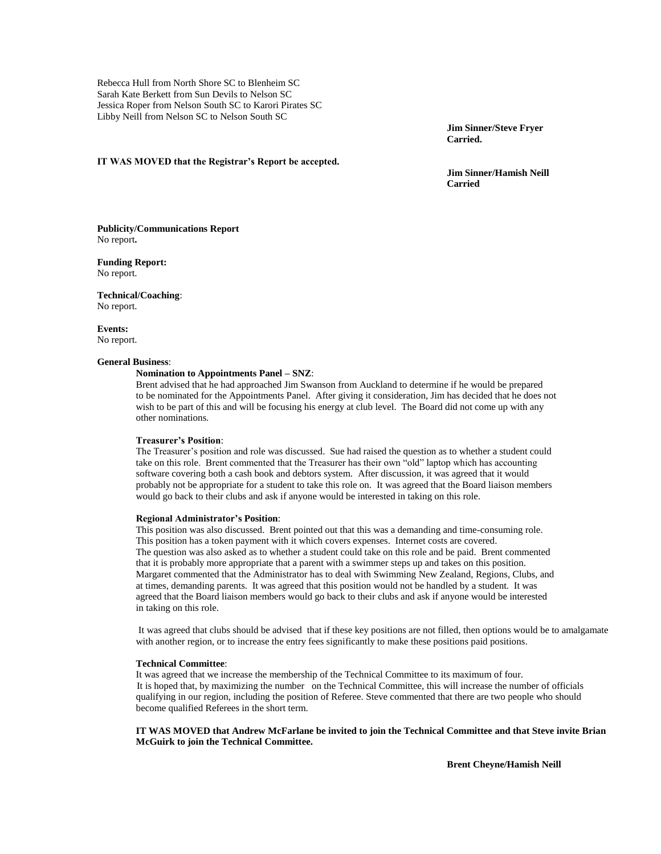Rebecca Hull from North Shore SC to Blenheim SC Sarah Kate Berkett from Sun Devils to Nelson SC Jessica Roper from Nelson South SC to Karori Pirates SC Libby Neill from Nelson SC to Nelson South SC

> **Jim Sinner/Steve Fryer Carried.**

#### **IT WAS MOVED that the Registrar's Report be accepted.**

**Jim Sinner/Hamish Neill Carried**

**Publicity/Communications Report** No report**.**

**Funding Report:** No report.

**Technical/Coaching**: No report.

**Events:** No report.

# **General Business**:

# **Nomination to Appointments Panel – SNZ**:

Brent advised that he had approached Jim Swanson from Auckland to determine if he would be prepared to be nominated for the Appointments Panel. After giving it consideration, Jim has decided that he does not wish to be part of this and will be focusing his energy at club level. The Board did not come up with any other nominations.

#### **Treasurer's Position**:

The Treasurer's position and role was discussed. Sue had raised the question as to whether a student could take on this role. Brent commented that the Treasurer has their own "old" laptop which has accounting software covering both a cash book and debtors system. After discussion, it was agreed that it would probably not be appropriate for a student to take this role on. It was agreed that the Board liaison members would go back to their clubs and ask if anyone would be interested in taking on this role.

# **Regional Administrator's Position**:

This position was also discussed. Brent pointed out that this was a demanding and time-consuming role. This position has a token payment with it which covers expenses. Internet costs are covered. The question was also asked as to whether a student could take on this role and be paid. Brent commented that it is probably more appropriate that a parent with a swimmer steps up and takes on this position. Margaret commented that the Administrator has to deal with Swimming New Zealand, Regions, Clubs, and at times, demanding parents. It was agreed that this position would not be handled by a student. It was agreed that the Board liaison members would go back to their clubs and ask if anyone would be interested in taking on this role.

It was agreed that clubs should be advised that if these key positions are not filled, then options would be to amalgamate with another region, or to increase the entry fees significantly to make these positions paid positions.

# **Technical Committee**:

It was agreed that we increase the membership of the Technical Committee to its maximum of four. It is hoped that, by maximizing the number on the Technical Committee, this will increase the number of officials qualifying in our region, including the position of Referee. Steve commented that there are two people who should become qualified Referees in the short term.

**IT WAS MOVED that Andrew McFarlane be invited to join the Technical Committee and that Steve invite Brian McGuirk to join the Technical Committee.**

**Brent Cheyne/Hamish Neill**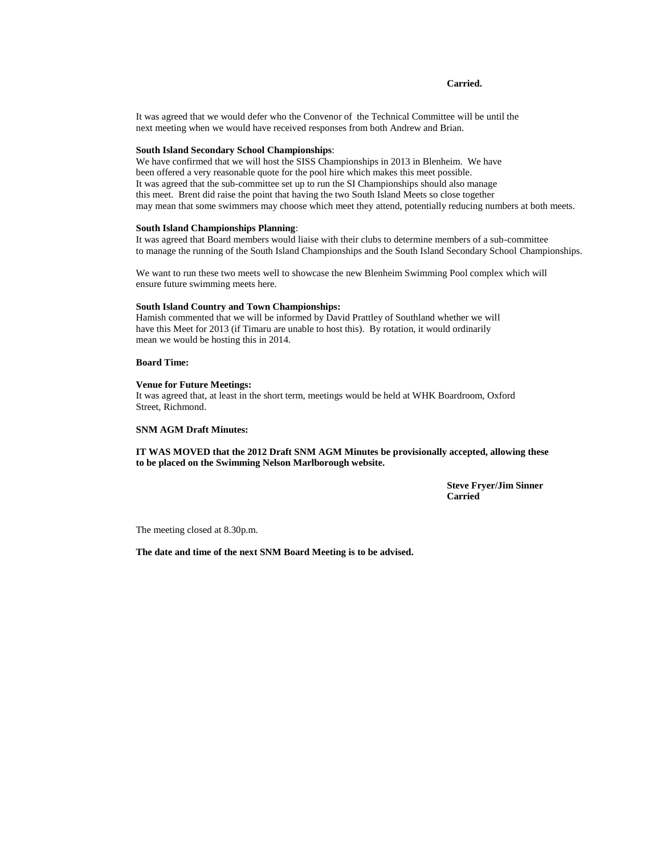# **Carried.**

It was agreed that we would defer who the Convenor of the Technical Committee will be until the next meeting when we would have received responses from both Andrew and Brian.

# **South Island Secondary School Championships**:

We have confirmed that we will host the SISS Championships in 2013 in Blenheim. We have been offered a very reasonable quote for the pool hire which makes this meet possible. It was agreed that the sub-committee set up to run the SI Championships should also manage this meet. Brent did raise the point that having the two South Island Meets so close together may mean that some swimmers may choose which meet they attend, potentially reducing numbers at both meets.

# **South Island Championships Planning**:

It was agreed that Board members would liaise with their clubs to determine members of a sub-committee to manage the running of the South Island Championships and the South Island Secondary School Championships.

We want to run these two meets well to showcase the new Blenheim Swimming Pool complex which will ensure future swimming meets here.

# **South Island Country and Town Championships:**

Hamish commented that we will be informed by David Prattley of Southland whether we will have this Meet for 2013 (if Timaru are unable to host this). By rotation, it would ordinarily mean we would be hosting this in 2014.

# **Board Time:**

# **Venue for Future Meetings:**

It was agreed that, at least in the short term, meetings would be held at WHK Boardroom, Oxford Street, Richmond.

#### **SNM AGM Draft Minutes:**

**IT WAS MOVED that the 2012 Draft SNM AGM Minutes be provisionally accepted, allowing these to be placed on the Swimming Nelson Marlborough website.**

> **Steve Fryer/Jim Sinner Carried**

The meeting closed at 8.30p.m.

**The date and time of the next SNM Board Meeting is to be advised.**